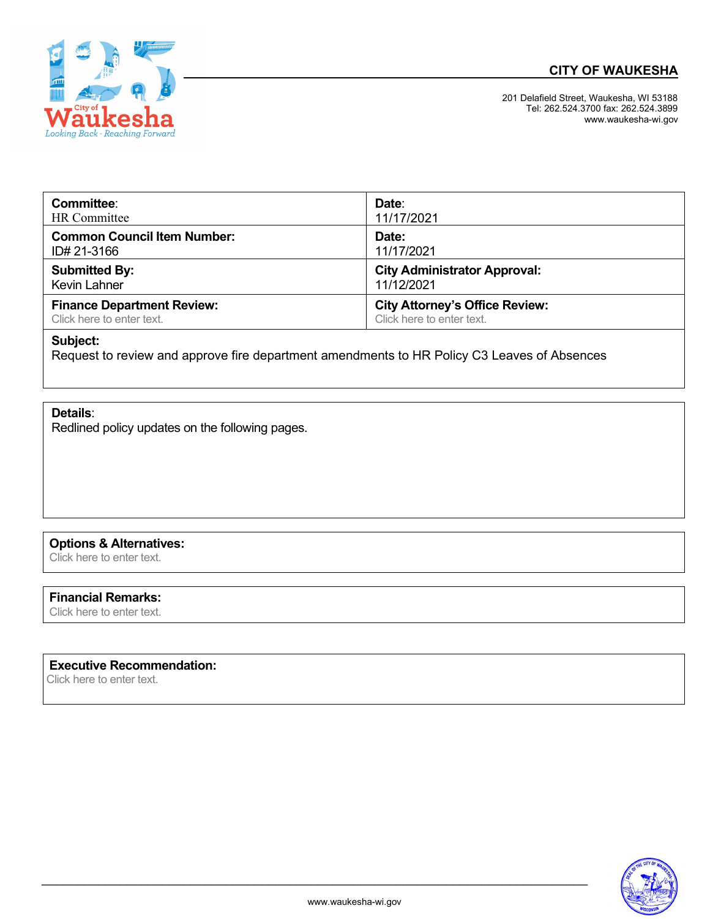



 201 Delafield Street, Waukesha, WI 53188 Tel: 262.524.3700 fax: 262.524.3899 www.waukesha-wi.gov

| Committee:                         | Date:                                 |
|------------------------------------|---------------------------------------|
| HR Committee                       | 11/17/2021                            |
| <b>Common Council Item Number:</b> | Date:                                 |
| ID# 21-3166                        | 11/17/2021                            |
| <b>Submitted By:</b>               | <b>City Administrator Approval:</b>   |
| Kevin Lahner                       | 11/12/2021                            |
| <b>Finance Department Review:</b>  | <b>City Attorney's Office Review:</b> |
| Click here to enter text.          | Click here to enter text.             |

# **Subject:**

Request to review and approve fire department amendments to HR Policy C3 Leaves of Absences

**Details**:

Redlined policy updates on the following pages.

# **Options & Alternatives:**

Click here to enter text.

#### **Financial Remarks:**

Click here to enter text.

# **Executive Recommendation:**

Click here to enter text.



 $\mathcal{L}_\text{max}$  , and the contribution of the contribution of the contribution of the contribution of the contribution of the contribution of the contribution of the contribution of the contribution of the contribution of t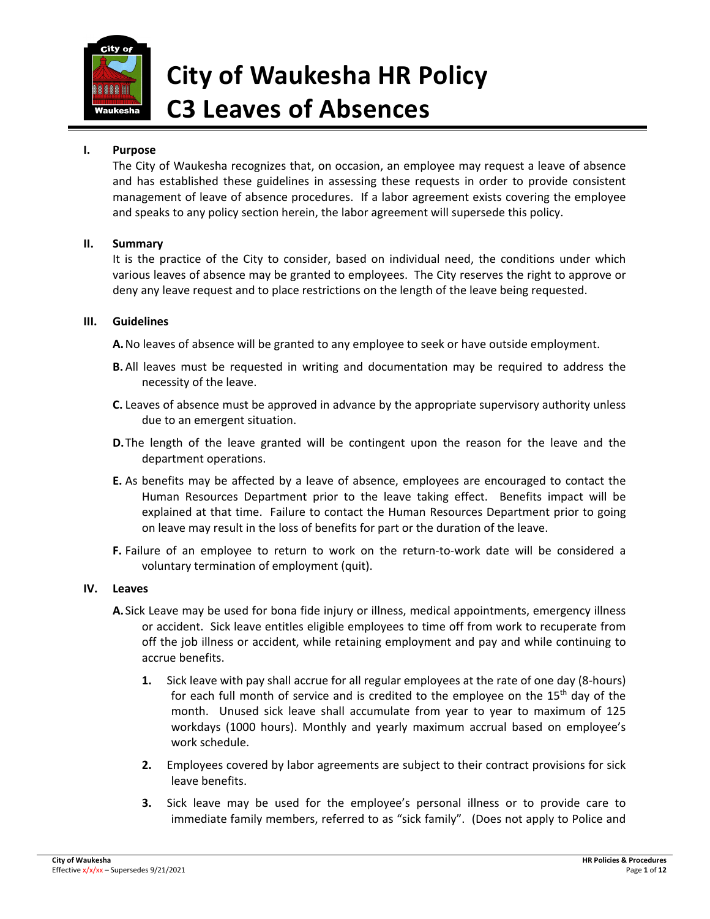

# **City of Waukesha HR Policy C3 Leaves of Absences**

#### **I. Purpose**

The City of Waukesha recognizes that, on occasion, an employee may request a leave of absence and has established these guidelines in assessing these requests in order to provide consistent management of leave of absence procedures. If a labor agreement exists covering the employee and speaks to any policy section herein, the labor agreement will supersede this policy.

#### **II. Summary**

It is the practice of the City to consider, based on individual need, the conditions under which various leaves of absence may be granted to employees. The City reserves the right to approve or deny any leave request and to place restrictions on the length of the leave being requested.

#### **III. Guidelines**

**A.**No leaves of absence will be granted to any employee to seek or have outside employment.

- **B.** All leaves must be requested in writing and documentation may be required to address the necessity of the leave.
- **C.** Leaves of absence must be approved in advance by the appropriate supervisory authority unless due to an emergent situation.
- **D.** The length of the leave granted will be contingent upon the reason for the leave and the department operations.
- **E.** As benefits may be affected by a leave of absence, employees are encouraged to contact the Human Resources Department prior to the leave taking effect. Benefits impact will be explained at that time. Failure to contact the Human Resources Department prior to going on leave may result in the loss of benefits for part or the duration of the leave.
- **F.** Failure of an employee to return to work on the return-to-work date will be considered a voluntary termination of employment (quit).

#### **IV. Leaves**

- **A.**Sick Leave may be used for bona fide injury or illness, medical appointments, emergency illness or accident. Sick leave entitles eligible employees to time off from work to recuperate from off the job illness or accident, while retaining employment and pay and while continuing to accrue benefits.
	- **1.** Sick leave with pay shall accrue for all regular employees at the rate of one day (8‐hours) for each full month of service and is credited to the employee on the  $15<sup>th</sup>$  day of the month. Unused sick leave shall accumulate from year to year to maximum of 125 workdays (1000 hours). Monthly and yearly maximum accrual based on employee's work schedule.
	- **2.** Employees covered by labor agreements are subject to their contract provisions for sick leave benefits.
	- **3.** Sick leave may be used for the employee's personal illness or to provide care to immediate family members, referred to as "sick family". (Does not apply to Police and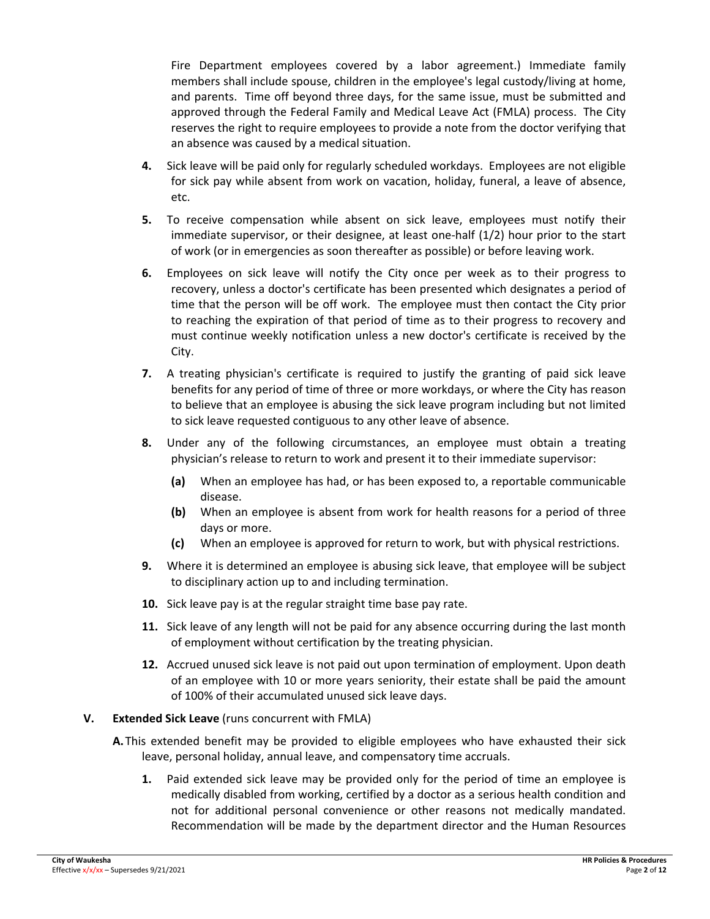Fire Department employees covered by a labor agreement.) Immediate family members shall include spouse, children in the employee's legal custody/living at home, and parents. Time off beyond three days, for the same issue, must be submitted and approved through the Federal Family and Medical Leave Act (FMLA) process. The City reserves the right to require employees to provide a note from the doctor verifying that an absence was caused by a medical situation.

- **4.** Sick leave will be paid only for regularly scheduled workdays. Employees are not eligible for sick pay while absent from work on vacation, holiday, funeral, a leave of absence, etc.
- **5.** To receive compensation while absent on sick leave, employees must notify their immediate supervisor, or their designee, at least one-half (1/2) hour prior to the start of work (or in emergencies as soon thereafter as possible) or before leaving work.
- **6.** Employees on sick leave will notify the City once per week as to their progress to recovery, unless a doctor's certificate has been presented which designates a period of time that the person will be off work. The employee must then contact the City prior to reaching the expiration of that period of time as to their progress to recovery and must continue weekly notification unless a new doctor's certificate is received by the City.
- **7.** A treating physician's certificate is required to justify the granting of paid sick leave benefits for any period of time of three or more workdays, or where the City has reason to believe that an employee is abusing the sick leave program including but not limited to sick leave requested contiguous to any other leave of absence.
- **8.** Under any of the following circumstances, an employee must obtain a treating physician's release to return to work and present it to their immediate supervisor:
	- **(a)** When an employee has had, or has been exposed to, a reportable communicable disease.
	- **(b)** When an employee is absent from work for health reasons for a period of three days or more.
	- **(c)** When an employee is approved for return to work, but with physical restrictions.
- **9.** Where it is determined an employee is abusing sick leave, that employee will be subject to disciplinary action up to and including termination.
- **10.** Sick leave pay is at the regular straight time base pay rate.
- **11.** Sick leave of any length will not be paid for any absence occurring during the last month of employment without certification by the treating physician.
- **12.** Accrued unused sick leave is not paid out upon termination of employment. Upon death of an employee with 10 or more years seniority, their estate shall be paid the amount of 100% of their accumulated unused sick leave days.

#### **V. Extended Sick Leave** (runs concurrent with FMLA)

- **A.**This extended benefit may be provided to eligible employees who have exhausted their sick leave, personal holiday, annual leave, and compensatory time accruals.
	- **1.** Paid extended sick leave may be provided only for the period of time an employee is medically disabled from working, certified by a doctor as a serious health condition and not for additional personal convenience or other reasons not medically mandated. Recommendation will be made by the department director and the Human Resources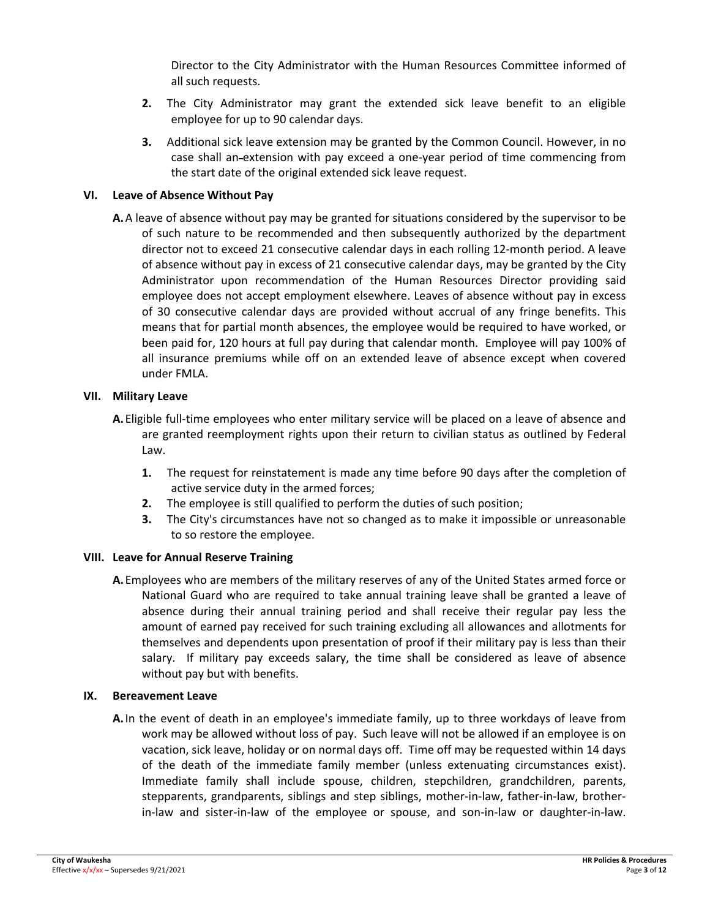Director to the City Administrator with the Human Resources Committee informed of all such requests.

- **2.** The City Administrator may grant the extended sick leave benefit to an eligible employee for up to 90 calendar days.
- **3.** Additional sick leave extension may be granted by the Common Council. However, in no case shall an extension with pay exceed a one‐year period of time commencing from the start date of the original extended sick leave request.

#### **VI. Leave of Absence Without Pay**

**A.**A leave of absence without pay may be granted for situations considered by the supervisor to be of such nature to be recommended and then subsequently authorized by the department director not to exceed 21 consecutive calendar days in each rolling 12‐month period. A leave of absence without pay in excess of 21 consecutive calendar days, may be granted by the City Administrator upon recommendation of the Human Resources Director providing said employee does not accept employment elsewhere. Leaves of absence without pay in excess of 30 consecutive calendar days are provided without accrual of any fringe benefits. This means that for partial month absences, the employee would be required to have worked, or been paid for, 120 hours at full pay during that calendar month. Employee will pay 100% of all insurance premiums while off on an extended leave of absence except when covered under FMLA.

#### **VII. Military Leave**

- **A.** Eligible full-time employees who enter military service will be placed on a leave of absence and are granted reemployment rights upon their return to civilian status as outlined by Federal Law.
	- **1.** The request for reinstatement is made any time before 90 days after the completion of active service duty in the armed forces;
	- **2.** The employee is still qualified to perform the duties of such position;
	- **3.** The City's circumstances have not so changed as to make it impossible or unreasonable to so restore the employee.

#### **VIII. Leave for Annual Reserve Training**

**A.**Employees who are members of the military reserves of any of the United States armed force or National Guard who are required to take annual training leave shall be granted a leave of absence during their annual training period and shall receive their regular pay less the amount of earned pay received for such training excluding all allowances and allotments for themselves and dependents upon presentation of proof if their military pay is less than their salary. If military pay exceeds salary, the time shall be considered as leave of absence without pay but with benefits.

#### **IX. Bereavement Leave**

**A.**In the event of death in an employee's immediate family, up to three workdays of leave from work may be allowed without loss of pay. Such leave will not be allowed if an employee is on vacation, sick leave, holiday or on normal days off. Time off may be requested within 14 days of the death of the immediate family member (unless extenuating circumstances exist). Immediate family shall include spouse, children, stepchildren, grandchildren, parents, stepparents, grandparents, siblings and step siblings, mother‐in‐law, father‐in‐law, brother‐ in‐law and sister‐in‐law of the employee or spouse, and son‐in‐law or daughter‐in‐law.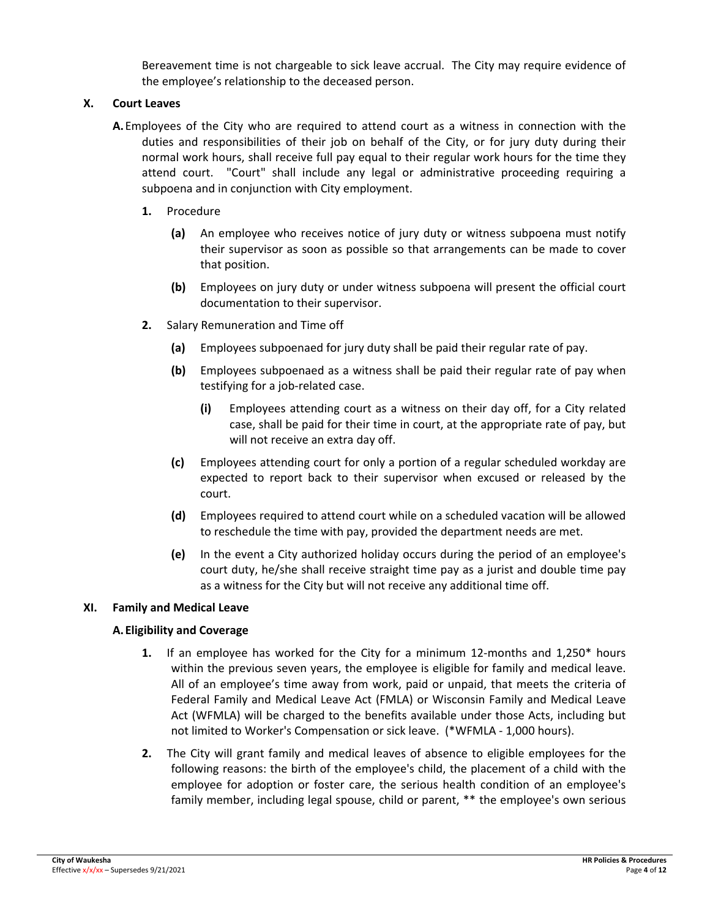Bereavement time is not chargeable to sick leave accrual. The City may require evidence of the employee's relationship to the deceased person.

# **X. Court Leaves**

- **A.**Employees of the City who are required to attend court as a witness in connection with the duties and responsibilities of their job on behalf of the City, or for jury duty during their normal work hours, shall receive full pay equal to their regular work hours for the time they attend court. "Court" shall include any legal or administrative proceeding requiring a subpoena and in conjunction with City employment.
	- **1.** Procedure
		- **(a)** An employee who receives notice of jury duty or witness subpoena must notify their supervisor as soon as possible so that arrangements can be made to cover that position.
		- **(b)** Employees on jury duty or under witness subpoena will present the official court documentation to their supervisor.
	- **2.** Salary Remuneration and Time off
		- **(a)** Employees subpoenaed for jury duty shall be paid their regular rate of pay.
		- **(b)** Employees subpoenaed as a witness shall be paid their regular rate of pay when testifying for a job-related case.
			- **(i)** Employees attending court as a witness on their day off, for a City related case, shall be paid for their time in court, at the appropriate rate of pay, but will not receive an extra day off.
		- **(c)** Employees attending court for only a portion of a regular scheduled workday are expected to report back to their supervisor when excused or released by the court.
		- **(d)** Employees required to attend court while on a scheduled vacation will be allowed to reschedule the time with pay, provided the department needs are met.
		- **(e)** In the event a City authorized holiday occurs during the period of an employee's court duty, he/she shall receive straight time pay as a jurist and double time pay as a witness for the City but will not receive any additional time off.

#### **XI. Family and Medical Leave**

# **A.Eligibility and Coverage**

- **1.** If an employee has worked for the City for a minimum 12-months and 1,250<sup>\*</sup> hours within the previous seven years, the employee is eligible for family and medical leave. All of an employee's time away from work, paid or unpaid, that meets the criteria of Federal Family and Medical Leave Act (FMLA) or Wisconsin Family and Medical Leave Act (WFMLA) will be charged to the benefits available under those Acts, including but not limited to Worker's Compensation or sick leave. (\*WFMLA ‐ 1,000 hours).
- **2.** The City will grant family and medical leaves of absence to eligible employees for the following reasons: the birth of the employee's child, the placement of a child with the employee for adoption or foster care, the serious health condition of an employee's family member, including legal spouse, child or parent, \*\* the employee's own serious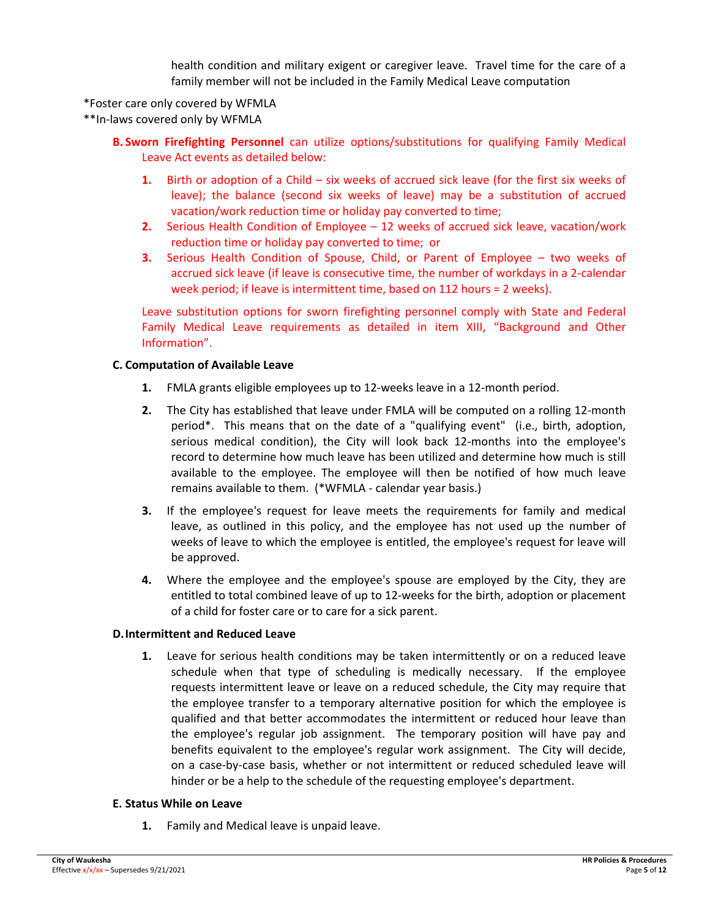health condition and military exigent or caregiver leave. Travel time for the care of a family member will not be included in the Family Medical Leave computation

\*Foster care only covered by WFMLA

\*\*In‐laws covered only by WFMLA

- **B. Sworn Firefighting Personnel** can utilize options/substitutions for qualifying Family Medical Leave Act events as detailed below:
	- **1.** Birth or adoption of a Child six weeks of accrued sick leave (for the first six weeks of leave); the balance (second six weeks of leave) may be a substitution of accrued vacation/work reduction time or holiday pay converted to time;
	- **2.** Serious Health Condition of Employee 12 weeks of accrued sick leave, vacation/work reduction time or holiday pay converted to time; or
	- **3.** Serious Health Condition of Spouse, Child, or Parent of Employee two weeks of accrued sick leave (if leave is consecutive time, the number of workdays in a 2‐calendar week period; if leave is intermittent time, based on 112 hours = 2 weeks).

Leave substitution options for sworn firefighting personnel comply with State and Federal Family Medical Leave requirements as detailed in item XIII, "Background and Other Information".

#### **C. Computation of Available Leave**

- **1.** FMLA grants eligible employees up to 12‐weeks leave in a 12‐month period.
- **2.** The City has established that leave under FMLA will be computed on a rolling 12‐month period\*. This means that on the date of a "qualifying event" (i.e., birth, adoption, serious medical condition), the City will look back 12-months into the employee's record to determine how much leave has been utilized and determine how much is still available to the employee. The employee will then be notified of how much leave remains available to them. (\*WFMLA ‐ calendar year basis.)
- **3.** If the employee's request for leave meets the requirements for family and medical leave, as outlined in this policy, and the employee has not used up the number of weeks of leave to which the employee is entitled, the employee's request for leave will be approved.
- **4.** Where the employee and the employee's spouse are employed by the City, they are entitled to total combined leave of up to 12‐weeks for the birth, adoption or placement of a child for foster care or to care for a sick parent.

#### **D.Intermittent and Reduced Leave**

**1.** Leave for serious health conditions may be taken intermittently or on a reduced leave schedule when that type of scheduling is medically necessary. If the employee requests intermittent leave or leave on a reduced schedule, the City may require that the employee transfer to a temporary alternative position for which the employee is qualified and that better accommodates the intermittent or reduced hour leave than the employee's regular job assignment. The temporary position will have pay and benefits equivalent to the employee's regular work assignment. The City will decide, on a case‐by‐case basis, whether or not intermittent or reduced scheduled leave will hinder or be a help to the schedule of the requesting employee's department.

#### **E. Status While on Leave**

**1.** Family and Medical leave is unpaid leave.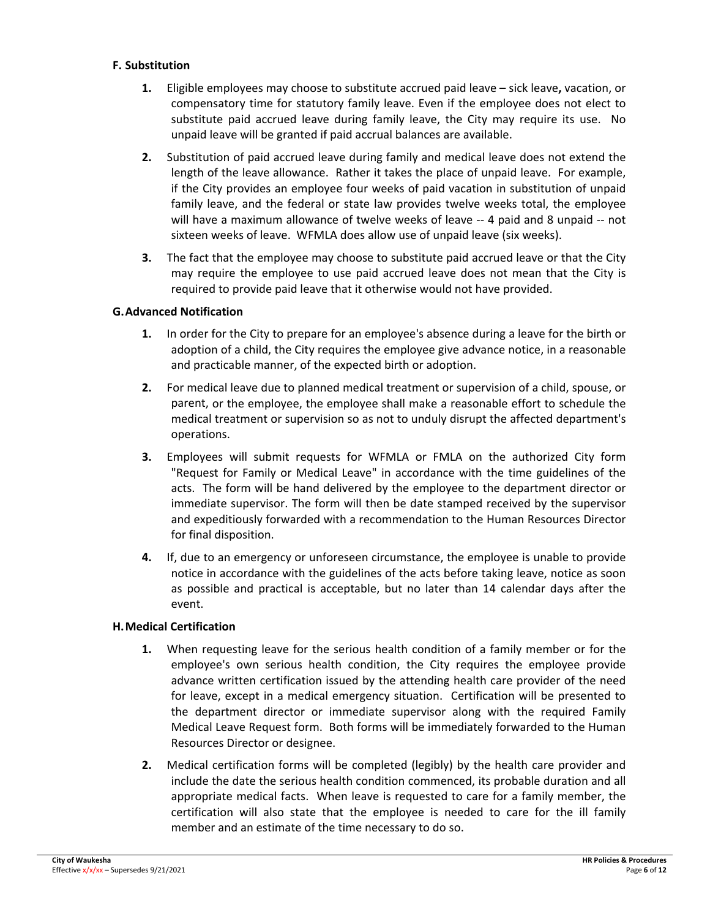#### **F. Substitution**

- **1.** Eligible employees may choose to substitute accrued paid leave sick leave**,** vacation, or compensatory time for statutory family leave. Even if the employee does not elect to substitute paid accrued leave during family leave, the City may require its use. No unpaid leave will be granted if paid accrual balances are available.
- **2.** Substitution of paid accrued leave during family and medical leave does not extend the length of the leave allowance. Rather it takes the place of unpaid leave. For example, if the City provides an employee four weeks of paid vacation in substitution of unpaid family leave, and the federal or state law provides twelve weeks total, the employee will have a maximum allowance of twelve weeks of leave -- 4 paid and 8 unpaid -- not sixteen weeks of leave. WFMLA does allow use of unpaid leave (six weeks).
- **3.** The fact that the employee may choose to substitute paid accrued leave or that the City may require the employee to use paid accrued leave does not mean that the City is required to provide paid leave that it otherwise would not have provided.

#### **G.Advanced Notification**

- **1.** In order for the City to prepare for an employee's absence during a leave for the birth or adoption of a child, the City requires the employee give advance notice, in a reasonable and practicable manner, of the expected birth or adoption.
- **2.** For medical leave due to planned medical treatment or supervision of a child, spouse, or parent, or the employee, the employee shall make a reasonable effort to schedule the medical treatment or supervision so as not to unduly disrupt the affected department's operations.
- **3.** Employees will submit requests for WFMLA or FMLA on the authorized City form "Request for Family or Medical Leave" in accordance with the time guidelines of the acts. The form will be hand delivered by the employee to the department director or immediate supervisor. The form will then be date stamped received by the supervisor and expeditiously forwarded with a recommendation to the Human Resources Director for final disposition.
- **4.** If, due to an emergency or unforeseen circumstance, the employee is unable to provide notice in accordance with the guidelines of the acts before taking leave, notice as soon as possible and practical is acceptable, but no later than 14 calendar days after the event.

# **H.Medical Certification**

- **1.** When requesting leave for the serious health condition of a family member or for the employee's own serious health condition, the City requires the employee provide advance written certification issued by the attending health care provider of the need for leave, except in a medical emergency situation. Certification will be presented to the department director or immediate supervisor along with the required Family Medical Leave Request form. Both forms will be immediately forwarded to the Human Resources Director or designee.
- **2.** Medical certification forms will be completed (legibly) by the health care provider and include the date the serious health condition commenced, its probable duration and all appropriate medical facts. When leave is requested to care for a family member, the certification will also state that the employee is needed to care for the ill family member and an estimate of the time necessary to do so.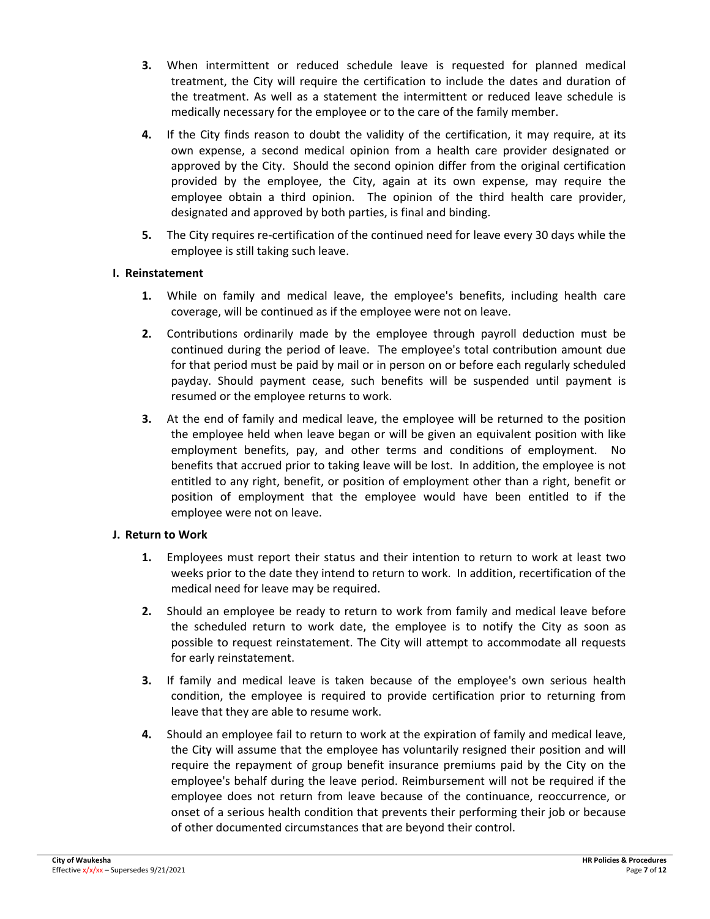- **3.** When intermittent or reduced schedule leave is requested for planned medical treatment, the City will require the certification to include the dates and duration of the treatment. As well as a statement the intermittent or reduced leave schedule is medically necessary for the employee or to the care of the family member.
- **4.** If the City finds reason to doubt the validity of the certification, it may require, at its own expense, a second medical opinion from a health care provider designated or approved by the City. Should the second opinion differ from the original certification provided by the employee, the City, again at its own expense, may require the employee obtain a third opinion. The opinion of the third health care provider, designated and approved by both parties, is final and binding.
- **5.** The City requires re-certification of the continued need for leave every 30 days while the employee is still taking such leave.

# **I. Reinstatement**

- **1.** While on family and medical leave, the employee's benefits, including health care coverage, will be continued as if the employee were not on leave.
- **2.** Contributions ordinarily made by the employee through payroll deduction must be continued during the period of leave. The employee's total contribution amount due for that period must be paid by mail or in person on or before each regularly scheduled payday. Should payment cease, such benefits will be suspended until payment is resumed or the employee returns to work.
- **3.** At the end of family and medical leave, the employee will be returned to the position the employee held when leave began or will be given an equivalent position with like employment benefits, pay, and other terms and conditions of employment. No benefits that accrued prior to taking leave will be lost. In addition, the employee is not entitled to any right, benefit, or position of employment other than a right, benefit or position of employment that the employee would have been entitled to if the employee were not on leave.

# **J. Return to Work**

- **1.** Employees must report their status and their intention to return to work at least two weeks prior to the date they intend to return to work. In addition, recertification of the medical need for leave may be required.
- **2.** Should an employee be ready to return to work from family and medical leave before the scheduled return to work date, the employee is to notify the City as soon as possible to request reinstatement. The City will attempt to accommodate all requests for early reinstatement.
- **3.** If family and medical leave is taken because of the employee's own serious health condition, the employee is required to provide certification prior to returning from leave that they are able to resume work.
- **4.** Should an employee fail to return to work at the expiration of family and medical leave, the City will assume that the employee has voluntarily resigned their position and will require the repayment of group benefit insurance premiums paid by the City on the employee's behalf during the leave period. Reimbursement will not be required if the employee does not return from leave because of the continuance, reoccurrence, or onset of a serious health condition that prevents their performing their job or because of other documented circumstances that are beyond their control.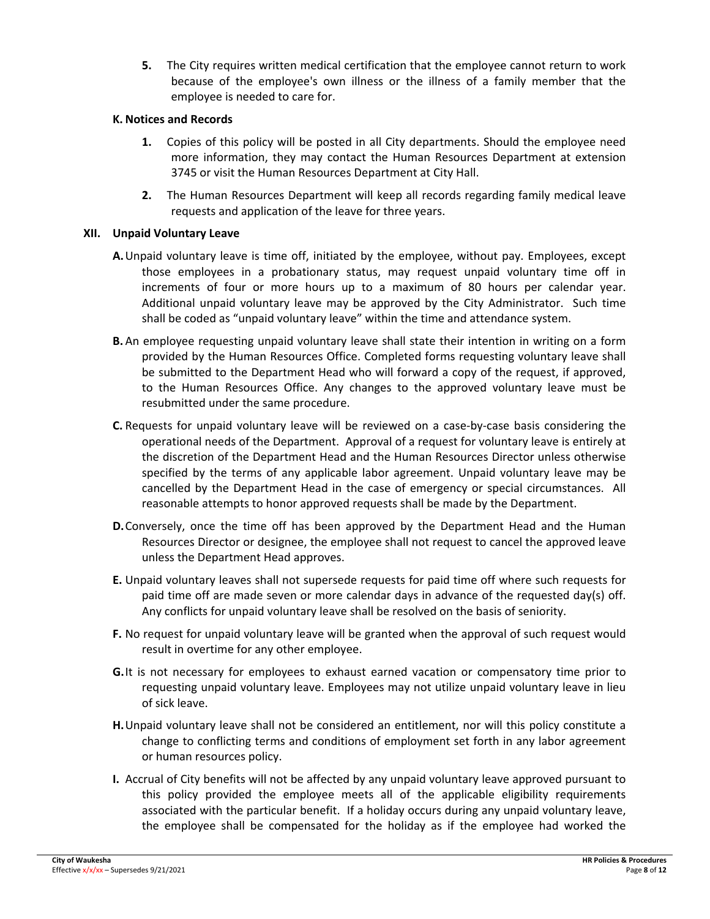**5.** The City requires written medical certification that the employee cannot return to work because of the employee's own illness or the illness of a family member that the employee is needed to care for.

#### **K. Notices and Records**

- **1.** Copies of this policy will be posted in all City departments. Should the employee need more information, they may contact the Human Resources Department at extension 3745 or visit the Human Resources Department at City Hall.
- **2.** The Human Resources Department will keep all records regarding family medical leave requests and application of the leave for three years.

#### **XII. Unpaid Voluntary Leave**

- **A.**Unpaid voluntary leave is time off, initiated by the employee, without pay. Employees, except those employees in a probationary status, may request unpaid voluntary time off in increments of four or more hours up to a maximum of 80 hours per calendar year. Additional unpaid voluntary leave may be approved by the City Administrator. Such time shall be coded as "unpaid voluntary leave" within the time and attendance system.
- **B.** An employee requesting unpaid voluntary leave shall state their intention in writing on a form provided by the Human Resources Office. Completed forms requesting voluntary leave shall be submitted to the Department Head who will forward a copy of the request, if approved, to the Human Resources Office. Any changes to the approved voluntary leave must be resubmitted under the same procedure.
- **C.** Requests for unpaid voluntary leave will be reviewed on a case‐by‐case basis considering the operational needs of the Department. Approval of a request for voluntary leave is entirely at the discretion of the Department Head and the Human Resources Director unless otherwise specified by the terms of any applicable labor agreement. Unpaid voluntary leave may be cancelled by the Department Head in the case of emergency or special circumstances. All reasonable attempts to honor approved requests shall be made by the Department.
- **D.**Conversely, once the time off has been approved by the Department Head and the Human Resources Director or designee, the employee shall not request to cancel the approved leave unless the Department Head approves.
- **E.** Unpaid voluntary leaves shall not supersede requests for paid time off where such requests for paid time off are made seven or more calendar days in advance of the requested day(s) off. Any conflicts for unpaid voluntary leave shall be resolved on the basis of seniority.
- **F.** No request for unpaid voluntary leave will be granted when the approval of such request would result in overtime for any other employee.
- **G.**It is not necessary for employees to exhaust earned vacation or compensatory time prior to requesting unpaid voluntary leave. Employees may not utilize unpaid voluntary leave in lieu of sick leave.
- **H.**Unpaid voluntary leave shall not be considered an entitlement, nor will this policy constitute a change to conflicting terms and conditions of employment set forth in any labor agreement or human resources policy.
- **I.** Accrual of City benefits will not be affected by any unpaid voluntary leave approved pursuant to this policy provided the employee meets all of the applicable eligibility requirements associated with the particular benefit. If a holiday occurs during any unpaid voluntary leave, the employee shall be compensated for the holiday as if the employee had worked the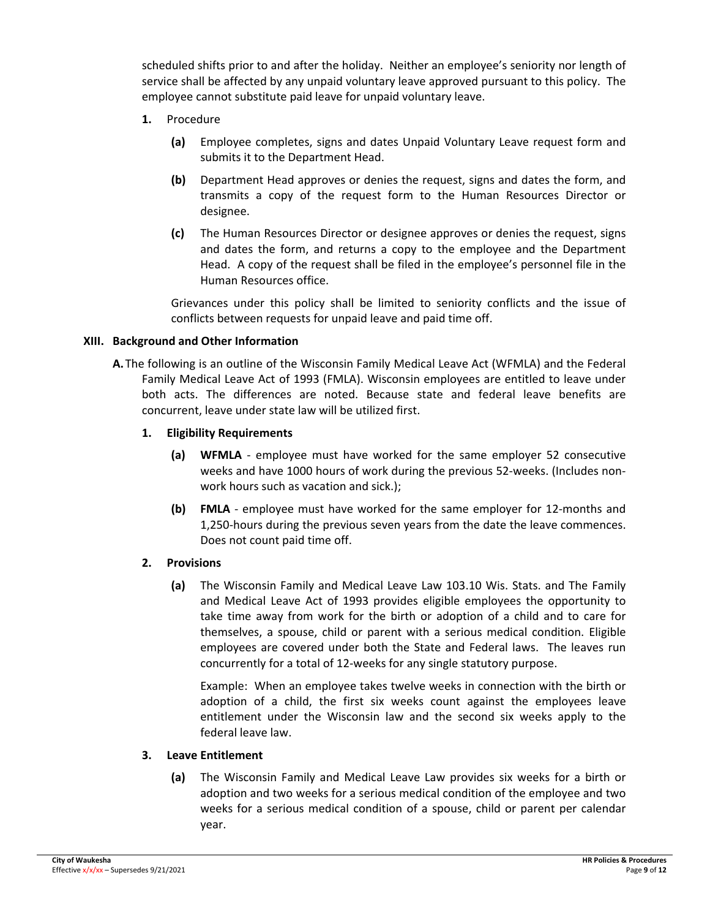scheduled shifts prior to and after the holiday. Neither an employee's seniority nor length of service shall be affected by any unpaid voluntary leave approved pursuant to this policy. The employee cannot substitute paid leave for unpaid voluntary leave.

- **1.** Procedure
	- **(a)** Employee completes, signs and dates Unpaid Voluntary Leave request form and submits it to the Department Head.
	- **(b)** Department Head approves or denies the request, signs and dates the form, and transmits a copy of the request form to the Human Resources Director or designee.
	- **(c)** The Human Resources Director or designee approves or denies the request, signs and dates the form, and returns a copy to the employee and the Department Head. A copy of the request shall be filed in the employee's personnel file in the Human Resources office.

Grievances under this policy shall be limited to seniority conflicts and the issue of conflicts between requests for unpaid leave and paid time off.

# **XIII. Background and Other Information**

**A.**The following is an outline of the Wisconsin Family Medical Leave Act (WFMLA) and the Federal Family Medical Leave Act of 1993 (FMLA). Wisconsin employees are entitled to leave under both acts. The differences are noted. Because state and federal leave benefits are concurrent, leave under state law will be utilized first.

#### **1. Eligibility Requirements**

- **(a) WFMLA** ‐ employee must have worked for the same employer 52 consecutive weeks and have 1000 hours of work during the previous 52‐weeks. (Includes non‐ work hours such as vacation and sick.);
- **(b) FMLA** ‐ employee must have worked for the same employer for 12‐months and 1,250‐hours during the previous seven years from the date the leave commences. Does not count paid time off.

# **2. Provisions**

**(a)** The Wisconsin Family and Medical Leave Law 103.10 Wis. Stats. and The Family and Medical Leave Act of 1993 provides eligible employees the opportunity to take time away from work for the birth or adoption of a child and to care for themselves, a spouse, child or parent with a serious medical condition. Eligible employees are covered under both the State and Federal laws. The leaves run concurrently for a total of 12‐weeks for any single statutory purpose.

Example: When an employee takes twelve weeks in connection with the birth or adoption of a child, the first six weeks count against the employees leave entitlement under the Wisconsin law and the second six weeks apply to the federal leave law.

# **3. Leave Entitlement**

**(a)** The Wisconsin Family and Medical Leave Law provides six weeks for a birth or adoption and two weeks for a serious medical condition of the employee and two weeks for a serious medical condition of a spouse, child or parent per calendar year.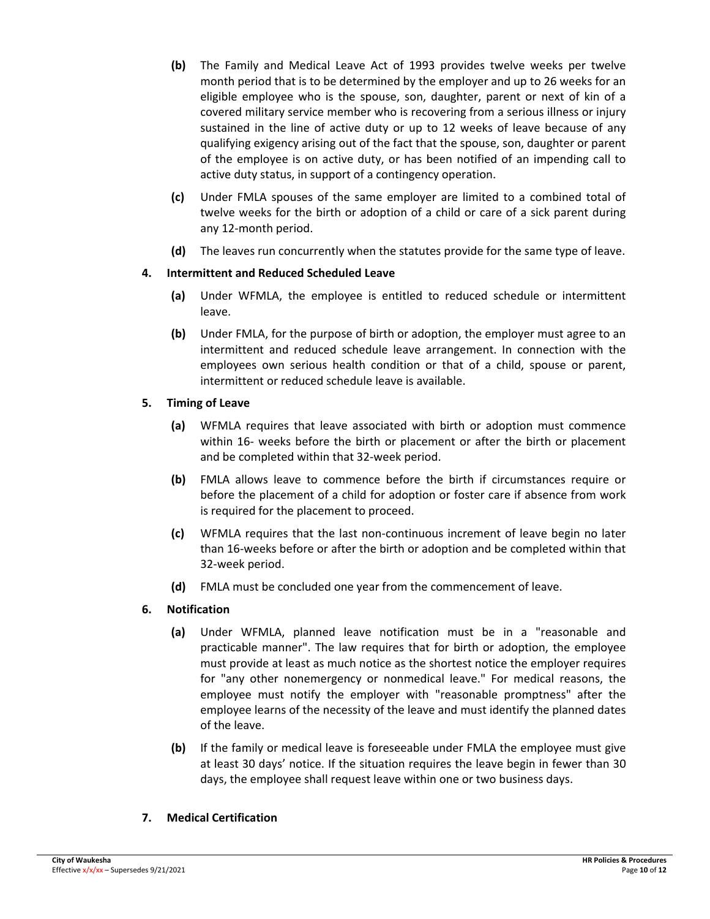- **(b)** The Family and Medical Leave Act of 1993 provides twelve weeks per twelve month period that is to be determined by the employer and up to 26 weeks for an eligible employee who is the spouse, son, daughter, parent or next of kin of a covered military service member who is recovering from a serious illness or injury sustained in the line of active duty or up to 12 weeks of leave because of any qualifying exigency arising out of the fact that the spouse, son, daughter or parent of the employee is on active duty, or has been notified of an impending call to active duty status, in support of a contingency operation.
- **(c)** Under FMLA spouses of the same employer are limited to a combined total of twelve weeks for the birth or adoption of a child or care of a sick parent during any 12‐month period.
- **(d)** The leaves run concurrently when the statutes provide for the same type of leave.

# **4. Intermittent and Reduced Scheduled Leave**

- **(a)** Under WFMLA, the employee is entitled to reduced schedule or intermittent leave.
- **(b)** Under FMLA, for the purpose of birth or adoption, the employer must agree to an intermittent and reduced schedule leave arrangement. In connection with the employees own serious health condition or that of a child, spouse or parent, intermittent or reduced schedule leave is available.

# **5. Timing of Leave**

- **(a)** WFMLA requires that leave associated with birth or adoption must commence within 16- weeks before the birth or placement or after the birth or placement and be completed within that 32‐week period.
- **(b)** FMLA allows leave to commence before the birth if circumstances require or before the placement of a child for adoption or foster care if absence from work is required for the placement to proceed.
- **(c)** WFMLA requires that the last non‐continuous increment of leave begin no later than 16‐weeks before or after the birth or adoption and be completed within that 32‐week period.
- **(d)** FMLA must be concluded one year from the commencement of leave.

# **6. Notification**

- **(a)** Under WFMLA, planned leave notification must be in a "reasonable and practicable manner". The law requires that for birth or adoption, the employee must provide at least as much notice as the shortest notice the employer requires for "any other nonemergency or nonmedical leave." For medical reasons, the employee must notify the employer with "reasonable promptness" after the employee learns of the necessity of the leave and must identify the planned dates of the leave.
- **(b)** If the family or medical leave is foreseeable under FMLA the employee must give at least 30 days' notice. If the situation requires the leave begin in fewer than 30 days, the employee shall request leave within one or two business days.

# **7. Medical Certification**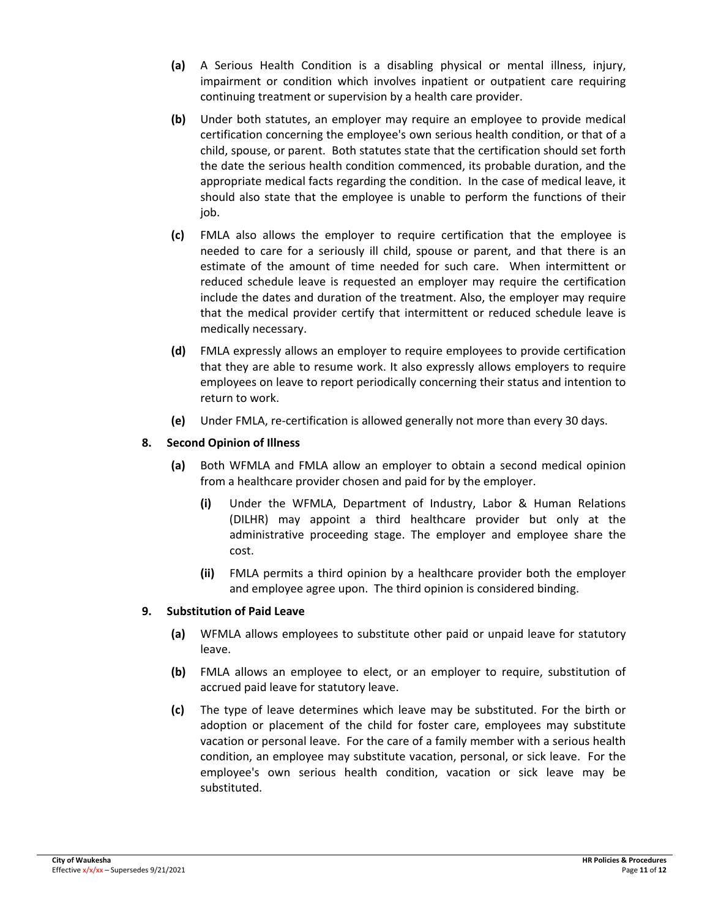- **(a)** A Serious Health Condition is a disabling physical or mental illness, injury, impairment or condition which involves inpatient or outpatient care requiring continuing treatment or supervision by a health care provider.
- **(b)** Under both statutes, an employer may require an employee to provide medical certification concerning the employee's own serious health condition, or that of a child, spouse, or parent. Both statutes state that the certification should set forth the date the serious health condition commenced, its probable duration, and the appropriate medical facts regarding the condition. In the case of medical leave, it should also state that the employee is unable to perform the functions of their job.
- **(c)** FMLA also allows the employer to require certification that the employee is needed to care for a seriously ill child, spouse or parent, and that there is an estimate of the amount of time needed for such care. When intermittent or reduced schedule leave is requested an employer may require the certification include the dates and duration of the treatment. Also, the employer may require that the medical provider certify that intermittent or reduced schedule leave is medically necessary.
- **(d)** FMLA expressly allows an employer to require employees to provide certification that they are able to resume work. It also expressly allows employers to require employees on leave to report periodically concerning their status and intention to return to work.
- **(e)** Under FMLA, re‐certification is allowed generally not more than every 30 days.

# **8. Second Opinion of Illness**

- **(a)** Both WFMLA and FMLA allow an employer to obtain a second medical opinion from a healthcare provider chosen and paid for by the employer.
	- **(i)** Under the WFMLA, Department of Industry, Labor & Human Relations (DILHR) may appoint a third healthcare provider but only at the administrative proceeding stage. The employer and employee share the cost.
	- **(ii)** FMLA permits a third opinion by a healthcare provider both the employer and employee agree upon. The third opinion is considered binding.

# **9. Substitution of Paid Leave**

- **(a)** WFMLA allows employees to substitute other paid or unpaid leave for statutory leave.
- **(b)** FMLA allows an employee to elect, or an employer to require, substitution of accrued paid leave for statutory leave.
- **(c)** The type of leave determines which leave may be substituted. For the birth or adoption or placement of the child for foster care, employees may substitute vacation or personal leave. For the care of a family member with a serious health condition, an employee may substitute vacation, personal, or sick leave. For the employee's own serious health condition, vacation or sick leave may be substituted.